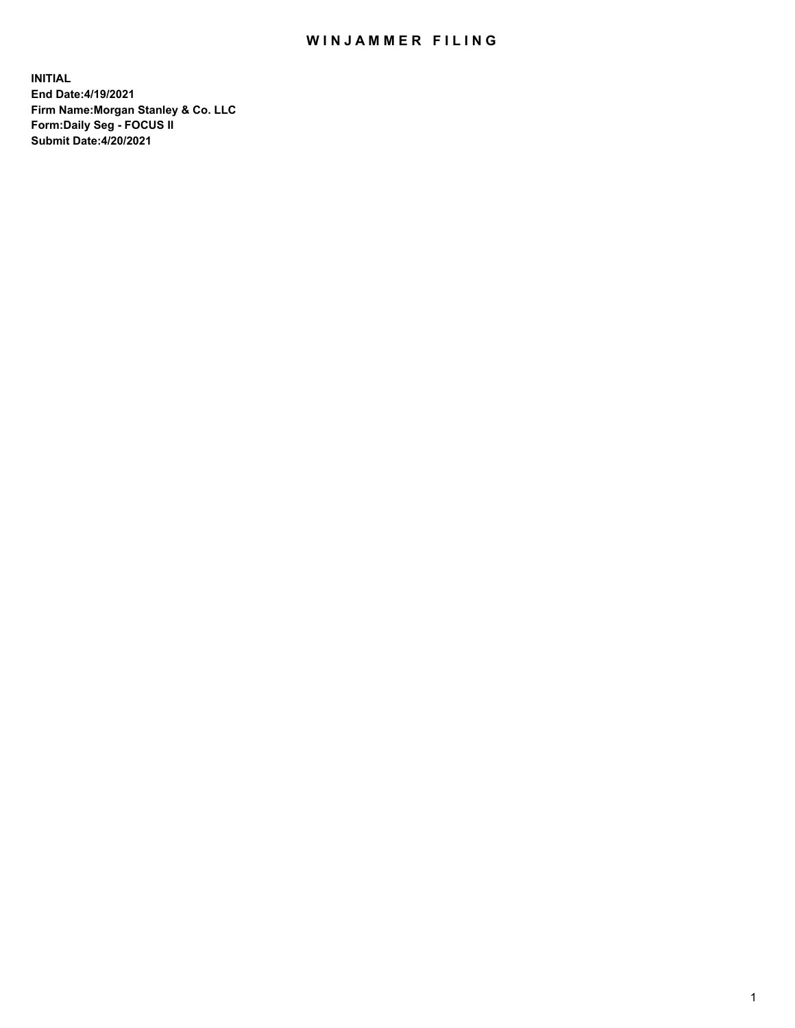## WIN JAMMER FILING

**INITIAL End Date:4/19/2021 Firm Name:Morgan Stanley & Co. LLC Form:Daily Seg - FOCUS II Submit Date:4/20/2021**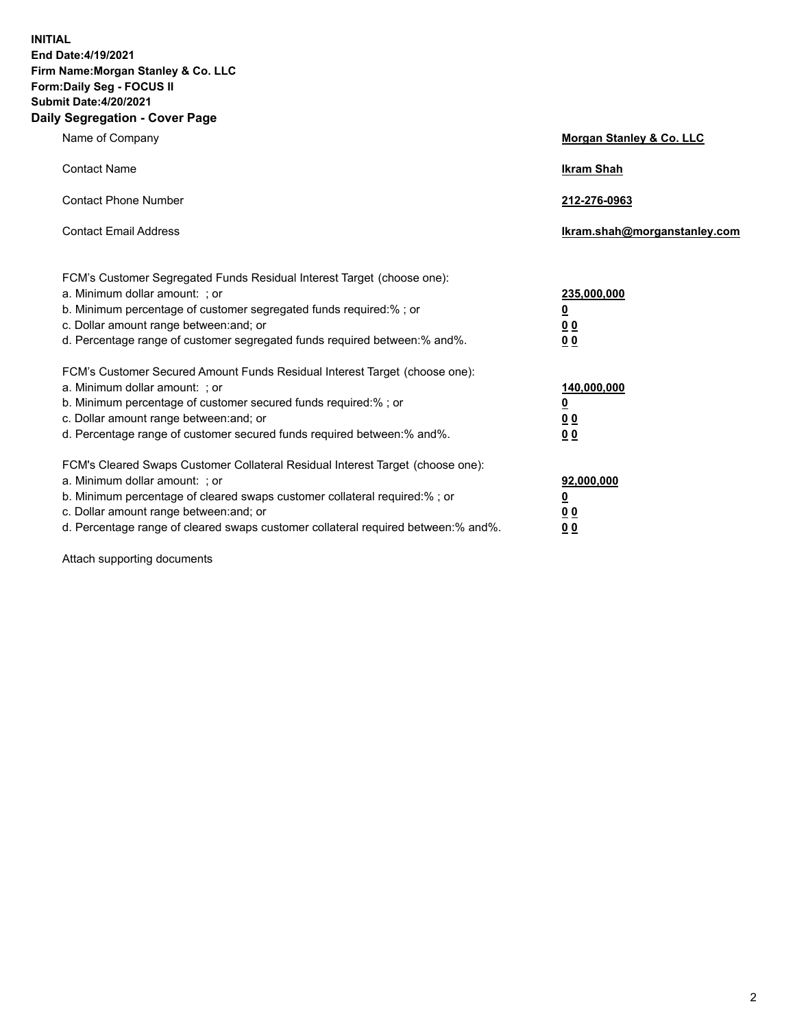**INITIAL End Date:4/19/2021 Firm Name:Morgan Stanley & Co. LLC Form:Daily Seg - FOCUS II Submit Date:4/20/2021 Daily Segregation - Cover Page**

| Name of Company                                                                                                                                                                                                                                                                                                                | <b>Morgan Stanley &amp; Co. LLC</b>                    |
|--------------------------------------------------------------------------------------------------------------------------------------------------------------------------------------------------------------------------------------------------------------------------------------------------------------------------------|--------------------------------------------------------|
| <b>Contact Name</b>                                                                                                                                                                                                                                                                                                            | <b>Ikram Shah</b>                                      |
| <b>Contact Phone Number</b>                                                                                                                                                                                                                                                                                                    | 212-276-0963                                           |
| <b>Contact Email Address</b>                                                                                                                                                                                                                                                                                                   | Ikram.shah@morganstanley.com                           |
| FCM's Customer Segregated Funds Residual Interest Target (choose one):<br>a. Minimum dollar amount: : or<br>b. Minimum percentage of customer segregated funds required:%; or<br>c. Dollar amount range between: and; or<br>d. Percentage range of customer segregated funds required between:% and%.                          | 235,000,000<br><u>0</u><br><u>00</u><br><u>00</u>      |
| FCM's Customer Secured Amount Funds Residual Interest Target (choose one):<br>a. Minimum dollar amount: ; or<br>b. Minimum percentage of customer secured funds required:%; or<br>c. Dollar amount range between: and; or<br>d. Percentage range of customer secured funds required between:% and%.                            | 140,000,000<br><u>0</u><br><u>00</u><br>0 <sub>0</sub> |
| FCM's Cleared Swaps Customer Collateral Residual Interest Target (choose one):<br>a. Minimum dollar amount: ; or<br>b. Minimum percentage of cleared swaps customer collateral required:% ; or<br>c. Dollar amount range between: and; or<br>d. Percentage range of cleared swaps customer collateral required between:% and%. | 92,000,000<br><u>0</u><br><u>00</u><br>00              |

Attach supporting documents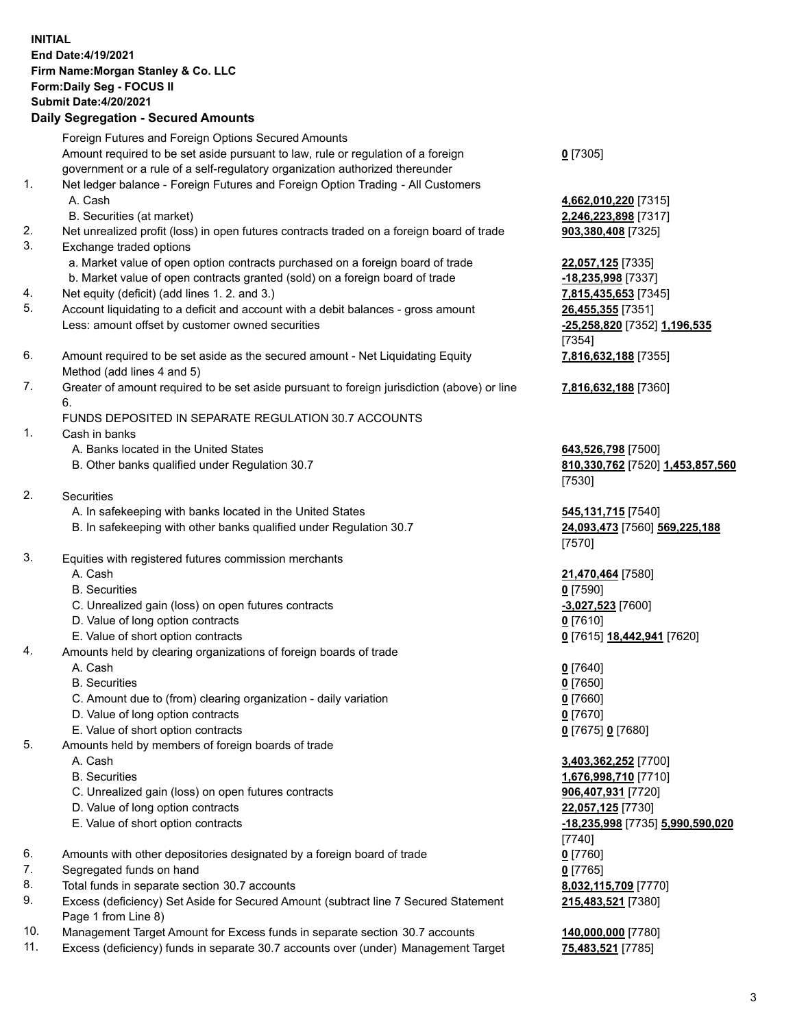## **INITIAL End Date:4/19/2021 Firm Name:Morgan Stanley & Co. LLC Form:Daily Seg - FOCUS II Submit Date:4/20/2021**

**Daily Segregation - Secured Amounts** Foreign Futures and Foreign Options Secured Amounts Amount required to be set aside pursuant to law, rule or regulation of a foreign government or a rule of a self-regulatory organization authorized thereunder 1. Net ledger balance - Foreign Futures and Foreign Option Trading - All Customers A. Cash **4,662,010,220** [7315] B. Securities (at market) **2,246,223,898** [7317] 2. Net unrealized profit (loss) in open futures contracts traded on a foreign board of trade **903,380,408** [7325] 3. Exchange traded options a. Market value of open option contracts purchased on a foreign board of trade **22,057,125** [7335] b. Market value of open contracts granted (sold) on a foreign board of trade **-18,235,998** [7337] 4. Net equity (deficit) (add lines 1. 2. and 3.) **7,815,435,653** [7345] 5. Account liquidating to a deficit and account with a debit balances - gross amount **26,455,355** [7351] Less: amount offset by customer owned securities **-25,258,820** [7352] **1,196,535** 6. Amount required to be set aside as the secured amount - Net Liquidating Equity Method (add lines 4 and 5) 7. Greater of amount required to be set aside pursuant to foreign jurisdiction (above) or line 6. FUNDS DEPOSITED IN SEPARATE REGULATION 30.7 ACCOUNTS 1. Cash in banks A. Banks located in the United States **643,526,798** [7500] B. Other banks qualified under Regulation 30.7 **810,330,762** [7520] **1,453,857,560** 2. Securities A. In safekeeping with banks located in the United States **545,131,715** [7540] B. In safekeeping with other banks qualified under Regulation 30.7 **24,093,473** [7560] **569,225,188** 3. Equities with registered futures commission merchants A. Cash **21,470,464** [7580] B. Securities **0** [7590] C. Unrealized gain (loss) on open futures contracts **-3,027,523** [7600] D. Value of long option contracts **0** [7610] E. Value of short option contracts **0** [7615] **18,442,941** [7620]

4. Amounts held by clearing organizations of foreign boards of trade

A. Cash **0** [7640]

- B. Securities **0** [7650]
- C. Amount due to (from) clearing organization daily variation **0** [7660]
- D. Value of long option contracts **0** [7670]
- E. Value of short option contracts **0** [7675] **0** [7680]
- 5. Amounts held by members of foreign boards of trade
	-
	-
	- C. Unrealized gain (loss) on open futures contracts **906,407,931** [7720]
	- D. Value of long option contracts **22,057,125** [7730]
	-
- 6. Amounts with other depositories designated by a foreign board of trade **0** [7760]
- 7. Segregated funds on hand **0** [7765]
- 8. Total funds in separate section 30.7 accounts **8,032,115,709** [7770]
- 9. Excess (deficiency) Set Aside for Secured Amount (subtract line 7 Secured Statement Page 1 from Line 8)
- 10. Management Target Amount for Excess funds in separate section 30.7 accounts **140,000,000** [7780]
- 11. Excess (deficiency) funds in separate 30.7 accounts over (under) Management Target **75,483,521** [7785]

**0** [7305]

[7354] **7,816,632,188** [7355]

**7,816,632,188** [7360]

[7530]

[7570]

 A. Cash **3,403,362,252** [7700] B. Securities **1,676,998,710** [7710] E. Value of short option contracts **-18,235,998** [7735] **5,990,590,020** [7740] **215,483,521** [7380]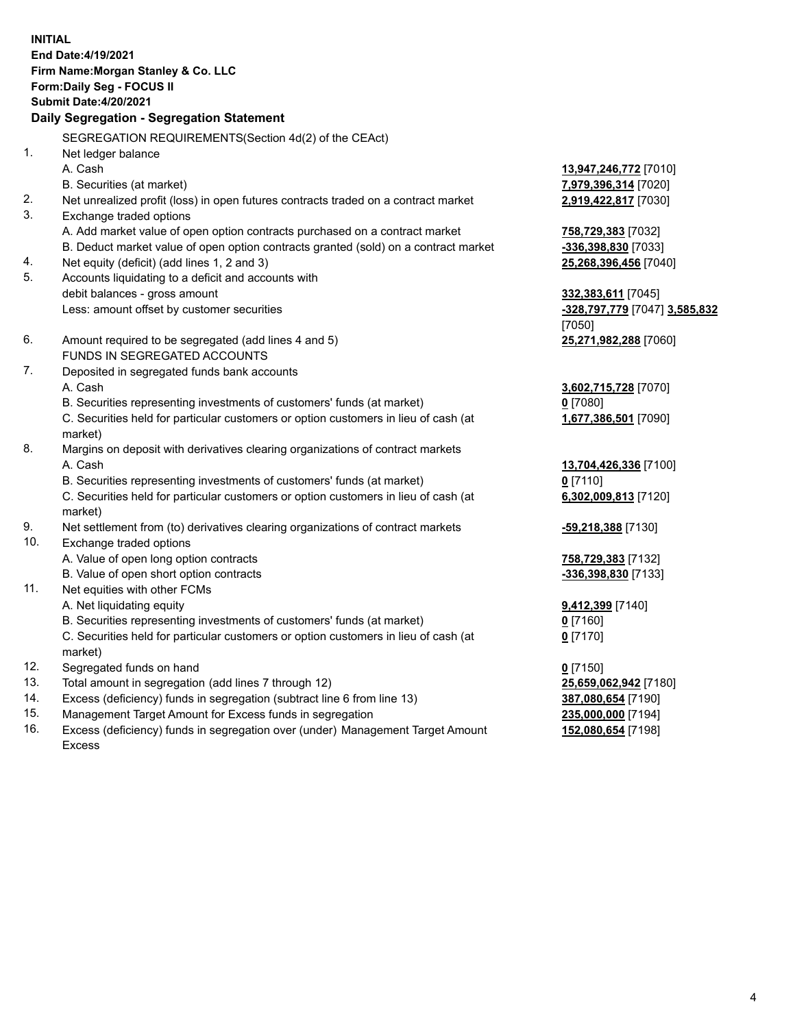**INITIAL End Date:4/19/2021 Firm Name:Morgan Stanley & Co. LLC Form:Daily Seg - FOCUS II Submit Date:4/20/2021 Daily Segregation - Segregation Statement** SEGREGATION REQUIREMENTS(Section 4d(2) of the CEAct) 1. Net ledger balance A. Cash **13,947,246,772** [7010] B. Securities (at market) **7,979,396,314** [7020] 2. Net unrealized profit (loss) in open futures contracts traded on a contract market **2,919,422,817** [7030] 3. Exchange traded options A. Add market value of open option contracts purchased on a contract market **758,729,383** [7032] B. Deduct market value of open option contracts granted (sold) on a contract market **-336,398,830** [7033] 4. Net equity (deficit) (add lines 1, 2 and 3) **25,268,396,456** [7040] 5. Accounts liquidating to a deficit and accounts with debit balances - gross amount **332,383,611** [7045] Less: amount offset by customer securities **-328,797,779** [7047] **3,585,832** [7050] 6. Amount required to be segregated (add lines 4 and 5) **25,271,982,288** [7060] FUNDS IN SEGREGATED ACCOUNTS 7. Deposited in segregated funds bank accounts A. Cash **3,602,715,728** [7070] B. Securities representing investments of customers' funds (at market) **0** [7080] C. Securities held for particular customers or option customers in lieu of cash (at market) **1,677,386,501** [7090] 8. Margins on deposit with derivatives clearing organizations of contract markets A. Cash **13,704,426,336** [7100] B. Securities representing investments of customers' funds (at market) **0** [7110] C. Securities held for particular customers or option customers in lieu of cash (at market) **6,302,009,813** [7120] 9. Net settlement from (to) derivatives clearing organizations of contract markets **-59,218,388** [7130] 10. Exchange traded options A. Value of open long option contracts **758,729,383** [7132] B. Value of open short option contracts **-336,398,830** [7133] 11. Net equities with other FCMs A. Net liquidating equity **9,412,399** [7140] B. Securities representing investments of customers' funds (at market) **0** [7160] C. Securities held for particular customers or option customers in lieu of cash (at market) **0** [7170] 12. Segregated funds on hand **0** [7150] 13. Total amount in segregation (add lines 7 through 12) **25,659,062,942** [7180] 14. Excess (deficiency) funds in segregation (subtract line 6 from line 13) **387,080,654** [7190] 15. Management Target Amount for Excess funds in segregation **235,000,000** [7194]

16. Excess (deficiency) funds in segregation over (under) Management Target Amount Excess

**152,080,654** [7198]